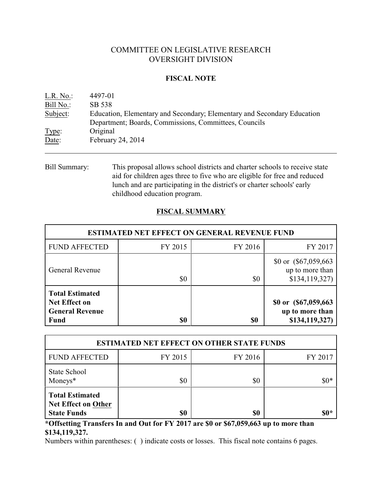# COMMITTEE ON LEGISLATIVE RESEARCH OVERSIGHT DIVISION

## **FISCAL NOTE**

| L.R. No.: | 4497-01                                                                 |
|-----------|-------------------------------------------------------------------------|
| Bill No.: | SB 538                                                                  |
| Subject:  | Education, Elementary and Secondary; Elementary and Secondary Education |
|           | Department; Boards, Commissions, Committees, Councils                   |
| Type:     | Original                                                                |
| Date:     | February 24, 2014                                                       |
|           |                                                                         |

Bill Summary: This proposal allows school districts and charter schools to receive state aid for children ages three to five who are eligible for free and reduced lunch and are participating in the district's or charter schools' early childhood education program.

# **FISCAL SUMMARY**

| <b>ESTIMATED NET EFFECT ON GENERAL REVENUE FUND</b>                                     |         |         |                                                            |  |  |
|-----------------------------------------------------------------------------------------|---------|---------|------------------------------------------------------------|--|--|
| <b>FUND AFFECTED</b>                                                                    | FY 2015 | FY 2016 | FY 2017                                                    |  |  |
| <b>General Revenue</b>                                                                  | \$0     | \$0     | \$0 or $(\$67,059,663$<br>up to more than<br>\$134,119,327 |  |  |
| <b>Total Estimated</b><br><b>Net Effect on</b><br><b>General Revenue</b><br><b>Fund</b> | \$0     | \$0     | \$0 or (\$67,059,663)<br>up to more than<br>\$134,119,327) |  |  |

| <b>ESTIMATED NET EFFECT ON OTHER STATE FUNDS</b>                           |         |         |         |  |  |
|----------------------------------------------------------------------------|---------|---------|---------|--|--|
| <b>FUND AFFECTED</b>                                                       | FY 2015 | FY 2016 | FY 2017 |  |  |
| <b>State School</b><br>Moneys*                                             | \$0     | \$0     | $$0*$   |  |  |
| <b>Total Estimated</b><br><b>Net Effect on Other</b><br><b>State Funds</b> | \$0     | \$0     | \$0*    |  |  |

**\*Offsetting Transfers In and Out for FY 2017 are \$0 or \$67,059,663 up to more than \$134,119,327.**

Numbers within parentheses: ( ) indicate costs or losses. This fiscal note contains 6 pages.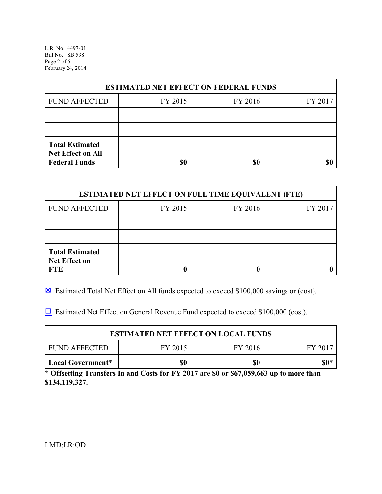L.R. No. 4497-01 Bill No. SB 538 Page 2 of 6 February 24, 2014

| <b>ESTIMATED NET EFFECT ON FEDERAL FUNDS</b>                        |         |         |         |  |  |
|---------------------------------------------------------------------|---------|---------|---------|--|--|
| <b>FUND AFFECTED</b>                                                | FY 2015 | FY 2016 | FY 2017 |  |  |
|                                                                     |         |         |         |  |  |
|                                                                     |         |         |         |  |  |
| <b>Total Estimated</b><br>Net Effect on All<br><b>Federal Funds</b> | \$0     | \$0     |         |  |  |

| <b>ESTIMATED NET EFFECT ON FULL TIME EQUIVALENT (FTE)</b>    |         |         |         |  |  |  |
|--------------------------------------------------------------|---------|---------|---------|--|--|--|
| <b>FUND AFFECTED</b>                                         | FY 2015 | FY 2016 | FY 2017 |  |  |  |
|                                                              |         |         |         |  |  |  |
|                                                              |         |         |         |  |  |  |
| <b>Total Estimated</b><br><b>Net Effect on</b><br><b>FTE</b> |         |         |         |  |  |  |

 $\boxtimes$  Estimated Total Net Effect on All funds expected to exceed \$100,000 savings or (cost).

 $\Box$  Estimated Net Effect on General Revenue Fund expected to exceed \$100,000 (cost).

| <b>ESTIMATED NET EFFECT ON LOCAL FUNDS</b>            |  |  |  |  |  |  |
|-------------------------------------------------------|--|--|--|--|--|--|
| FY 2015<br><b>FUND AFFECTED</b><br>FY 2016<br>FY 2017 |  |  |  |  |  |  |
| \$0<br>\$0<br>  Local Government*                     |  |  |  |  |  |  |

**\* Offsetting Transfers In and Costs for FY 2017 are \$0 or \$67,059,663 up to more than \$134,119,327.**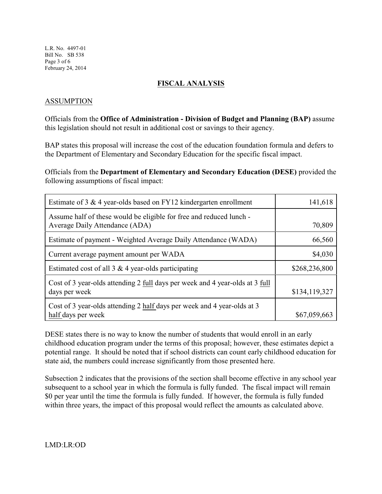## **FISCAL ANALYSIS**

## ASSUMPTION

Officials from the **Office of Administration - Division of Budget and Planning (BAP)** assume this legislation should not result in additional cost or savings to their agency.

BAP states this proposal will increase the cost of the education foundation formula and defers to the Department of Elementary and Secondary Education for the specific fiscal impact.

Officials from the **Department of Elementary and Secondary Education (DESE)** provided the following assumptions of fiscal impact:

| Estimate of 3 $\&$ 4 year-olds based on FY12 kindergarten enrollment                                  | 141,618       |
|-------------------------------------------------------------------------------------------------------|---------------|
| Assume half of these would be eligible for free and reduced lunch -<br>Average Daily Attendance (ADA) | 70,809        |
| Estimate of payment - Weighted Average Daily Attendance (WADA)                                        | 66,560        |
| Current average payment amount per WADA                                                               | \$4,030       |
| Estimated cost of all $3 \& 4$ year-olds participating                                                | \$268,236,800 |
| Cost of 3 year-olds attending 2 full days per week and 4 year-olds at 3 full<br>days per week         | \$134,119,327 |
| Cost of 3 year-olds attending 2 half days per week and 4 year-olds at 3<br>half days per week         | \$67,059,663  |

DESE states there is no way to know the number of students that would enroll in an early childhood education program under the terms of this proposal; however, these estimates depict a potential range. It should be noted that if school districts can count early childhood education for state aid, the numbers could increase significantly from those presented here.

Subsection 2 indicates that the provisions of the section shall become effective in any school year subsequent to a school year in which the formula is fully funded. The fiscal impact will remain \$0 per year until the time the formula is fully funded. If however, the formula is fully funded within three years, the impact of this proposal would reflect the amounts as calculated above.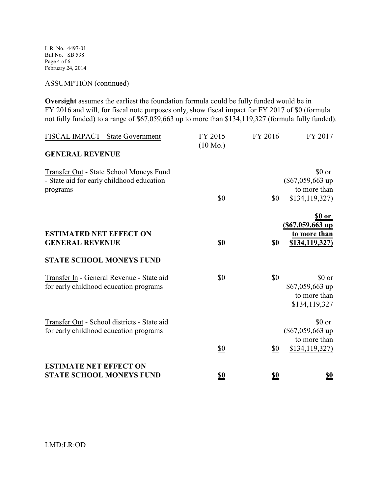L.R. No. 4497-01 Bill No. SB 538 Page 4 of 6 February 24, 2014

## ASSUMPTION (continued)

**Oversight** assumes the earliest the foundation formula could be fully funded would be in FY 2016 and will, for fiscal note purposes only, show fiscal impact for FY 2017 of \$0 (formula not fully funded) to a range of \$67,059,663 up to more than \$134,119,327 (formula fully funded).

| FISCAL IMPACT - State Government<br><b>GENERAL REVENUE</b>                                       | FY 2015<br>$(10 \text{ Mo.})$ | FY 2016    | FY 2017                                                        |
|--------------------------------------------------------------------------------------------------|-------------------------------|------------|----------------------------------------------------------------|
| Transfer Out - State School Moneys Fund<br>- State aid for early childhood education<br>programs | $\underline{\$0}$             | \$0        | \$0 or<br>$(\$67,059,663$ up<br>to more than<br>\$134,119,327  |
| <b>ESTIMATED NET EFFECT ON</b><br><b>GENERAL REVENUE</b>                                         | <u>\$0</u>                    | <u>\$0</u> | \$0 or<br>$(S67,059,663$ up<br>to more than<br>\$134,119,327)  |
| <b>STATE SCHOOL MONEYS FUND</b>                                                                  |                               |            |                                                                |
| Transfer In - General Revenue - State aid<br>for early childhood education programs              | \$0                           | \$0        | \$0 or<br>\$67,059,663 up<br>to more than<br>\$134,119,327     |
| Transfer Out - School districts - State aid<br>for early childhood education programs            | \$0                           | \$0        | \$0 or<br>$(\$67,059,663$ up<br>to more than<br>\$134,119,327) |
| <b>ESTIMATE NET EFFECT ON</b>                                                                    |                               |            |                                                                |
| <b>STATE SCHOOL MONEYS FUND</b>                                                                  | \$0                           | \$0        | \$0                                                            |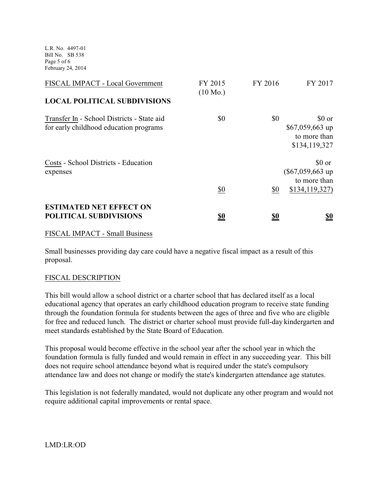L.R. No. 4497-01 Bill No. SB 538 Page 5 of 6 February 24, 2014

| FISCAL IMPACT - Local Government                                                     | FY 2015<br>$(10 \text{ Mo.})$ | FY 2016    | FY 2017                                                       |
|--------------------------------------------------------------------------------------|-------------------------------|------------|---------------------------------------------------------------|
| <b>LOCAL POLITICAL SUBDIVISIONS</b>                                                  |                               |            |                                                               |
| Transfer In - School Districts - State aid<br>for early childhood education programs | \$0                           | \$0        | \$0 or<br>\$67,059,663 up<br>to more than<br>\$134,119,327    |
| Costs - School Districts - Education<br>expenses                                     | \$0                           | \$0        | \$0 or<br>$(\$67,059,663$ up<br>to more than<br>\$134,119,327 |
| <b>ESTIMATED NET EFFECT ON</b><br><b>POLITICAL SUBDIVISIONS</b>                      | <u>so</u>                     | <u>\$0</u> | <u>\$0</u>                                                    |

## FISCAL IMPACT - Small Business

Small businesses providing day care could have a negative fiscal impact as a result of this proposal.

#### FISCAL DESCRIPTION

This bill would allow a school district or a charter school that has declared itself as a local educational agency that operates an early childhood education program to receive state funding through the foundation formula for students between the ages of three and five who are eligible for free and reduced lunch. The district or charter school must provide full-day kindergarten and meet standards established by the State Board of Education.

This proposal would become effective in the school year after the school year in which the foundation formula is fully funded and would remain in effect in any succeeding year. This bill does not require school attendance beyond what is required under the state's compulsory attendance law and does not change or modify the state's kindergarten attendance age statutes.

This legislation is not federally mandated, would not duplicate any other program and would not require additional capital improvements or rental space.